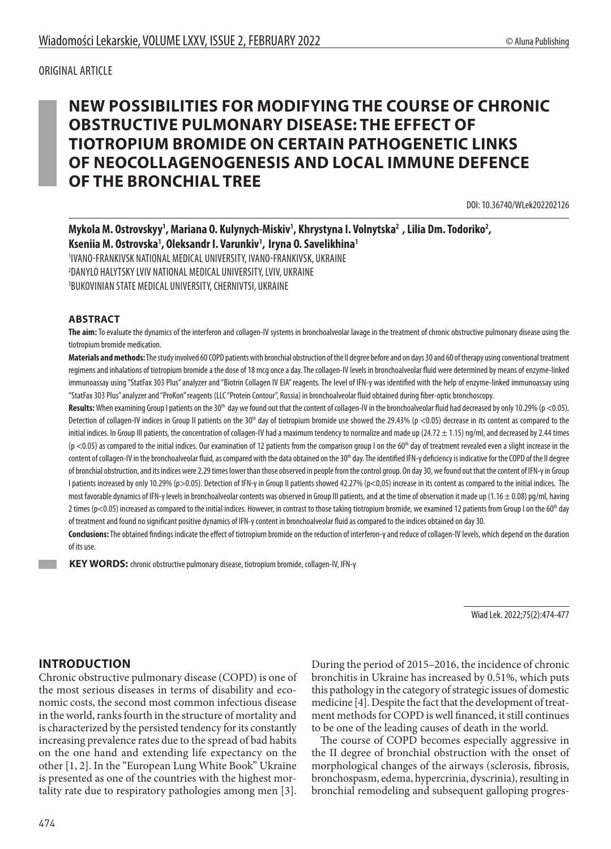ORIGINAL ARTICLE

# **NEW POSSIBILITIES FOR MODIFYING THE COURSE OF CHRONIC OBSTRUCTIVE PULMONARY DISEASE: THE EFFECT OF TIOTROPIUM BROMIDE ON CERTAIN PATHOGENETIC LINKS OF NEOCOLLAGENOGENESIS AND LOCAL IMMUNE DEFENCE OF THE BRONCHIAL TREE**

DOI: 10.36740/WLek202202126

# Mykola M. Ostrovskyy<sup>1</sup>, Mariana O. Kulynych-Miskiv<sup>1</sup>, Khrystyna I. Volnytska<sup>2</sup> , Lilia Dm. Todoriko<sup>2</sup>, **Kseniia M. Ostrovska1 , Oleksandr I. Varunkiv1 , Iryna O. Savelikhina1** 1 IVANO-FRANKIVSK NATIONAL MEDICAL UNIVERSITY, IVANO-FRANKIVSK, UKRAINE 2 DANYLO HALYTSKY LVIV NATIONAL MEDICAL UNIVERSITY, LVIV, UKRAINE

3 BUKOVINIAN STATE MEDICAL UNIVERSITY, CHERNIVTSI, UKRAINE

#### **ABSTRACT**

**The aim:** To evaluate the dynamics of the interferon and collagen-IV systems in bronchoalveolar lavage in the treatment of chronic obstructive pulmonary disease using the tiotropium bromide medication.

**Materials and methods:** The study involved 60COPD patients with bronchial obstruction of the II degree before and on days 30 and 60 of therapy using conventional treatment regimens and inhalations of tiotropium bromide a the dose of 18 mcg once a day.The collagen-IV levels in bronchoalveolar fluid were determined by means of enzyme-linked immunoassay using "StatFax 303 Plus" analyzer and "Biotrin Collagen IV EIA" reagents. The level of IFN-γ was identified with the help of enzyme-linked immunoassay using "StatFax 303 Plus" analyzer and "ProKon" reagents (LLC "Protein Contour", Russia) in bronchoalveolar fluid obtained during fiber-optic bronchoscopy.

Results: When examining Group I patients on the 30<sup>th</sup> day we found out that the content of collagen-IV in the bronchoalveolar fluid had decreased by only 10.29% (p <0.05). Detection of collagen-IV indices in Group II patients on the 30<sup>th</sup> day of tiotropium bromide use showed the 29.43% (p <0.05) decrease in its content as compared to the initial indices. In Group III patients, the concentration of collagen-IV had a maximum tendency to normalize and made up  $(24.72 \pm 1.15)$  ng/ml, and decreased by 2.44 times  $(p < 0.05)$  as compared to the initial indices. Our examination of 12 patients from the comparison group I on the 60<sup>th</sup> day of treatment revealed even a slight increase in the content of collagen-IV in the bronchoalveolar fluid, as compared with the data obtained on the 30<sup>th</sup> day. The identified IFN-γ deficiency is indicative for the COPD of the II degree of bronchial obstruction, and its indices were 2.29 times lower than those observed in people from the control group. On day 30, we found out that the content of IFN-γ in Group I patients increased by only 10.29% (p>0.05). Detection of IFN-γ in Group II patients showed 42.27% (p<0,05) increase in its content as compared to the initial indices. The most favorable dynamics of IFN-γ levels in bronchoalveolar contents was observed in Group III patients, and at the time of observation it made up (1.16 ± 0.08) pg/ml, having 2 times ( $p$ <0.05) increased as compared to the initial indices. However, in contrast to those taking tiotropium bromide, we examined 12 patients from Group I on the 60<sup>th</sup> day of treatment and found no significant positive dynamics of IFN-γ content in bronchoalveolar fluid as compared to the indices obtained on day 30.

**Conclusions:** The obtained findings indicate the effect of tiotropium bromide on the reduction of interferon-γ and reduce of collagen-IV levels, which depend on the duration of its use.

 **KEY WORDS:** chronic obstructive pulmonary disease, tiotropium bromide, collagen-IV, IFN-γ

Wiad Lek. 2022;75(2):474-477

# **INTRODUCTION**

Chronic obstructive pulmonary disease (COPD) is one of the most serious diseases in terms of disability and economic costs, the second most common infectious disease in the world, ranks fourth in the structure of mortality and is characterized by the persisted tendency for its constantly increasing prevalence rates due to the spread of bad habits on the one hand and extending life expectancy on the other [1, 2]. In the "European Lung White Book" Ukraine is presented as one of the countries with the highest mortality rate due to respiratory pathologies among men [3].

During the period of 2015–2016, the incidence of chronic bronchitis in Ukraine has increased by 0.51%, which puts this pathology in the category of strategic issues of domestic medicine [4]. Despite the fact that the development of treatment methods for COPD is well financed, it still continues to be one of the leading causes of death in the world.

The course of COPD becomes especially aggressive in the II degree of bronchial obstruction with the onset of morphological changes of the airways (sclerosis, fibrosis, bronchospasm, edema, hypercrinia, dyscrinia), resulting in bronchial remodeling and subsequent galloping progres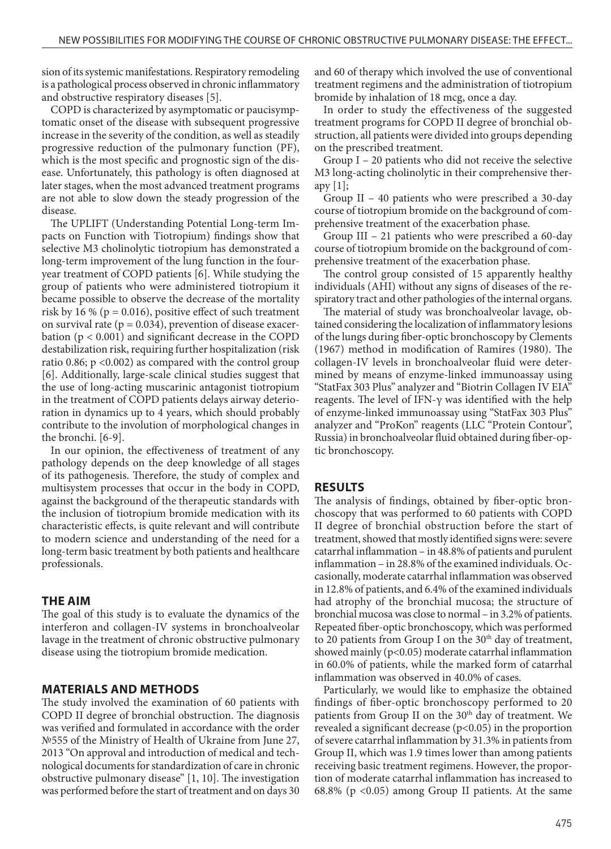sion of its systemic manifestations. Respiratory remodeling is a pathological process observed in chronic inflammatory and obstructive respiratory diseases [5].

COPD is characterized by asymptomatic or paucisymptomatic onset of the disease with subsequent progressive increase in the severity of the condition, as well as steadily progressive reduction of the pulmonary function (PF), which is the most specific and prognostic sign of the disease. Unfortunately, this pathology is often diagnosed at later stages, when the most advanced treatment programs are not able to slow down the steady progression of the disease.

The UPLIFT (Understanding Potential Long-term Impacts on Function with Tiotropium) findings show that selective M3 cholinolytic tiotropium has demonstrated a long-term improvement of the lung function in the fouryear treatment of COPD patients [6]. While studying the group of patients who were administered tiotropium it became possible to observe the decrease of the mortality risk by 16 % ( $p = 0.016$ ), positive effect of such treatment on survival rate ( $p = 0.034$ ), prevention of disease exacerbation (р < 0.001) and significant decrease in the COPD destabilization risk, requiring further hospitalization (risk ratio 0.86;  $p \le 0.002$ ) as compared with the control group [6]. Additionally, large-scale clinical studies suggest that the use of long-acting muscarinic antagonist tiotropium in the treatment of COPD patients delays airway deterioration in dynamics up to 4 years, which should probably contribute to the involution of morphological changes in the bronchi. [6-9].

In our opinion, the effectiveness of treatment of any pathology depends on the deep knowledge of all stages of its pathogenesis. Therefore, the study of complex and multisystem processes that occur in the body in COPD, against the background of the therapeutic standards with the inclusion of tiotropium bromide medication with its characteristic effects, is quite relevant and will contribute to modern science and understanding of the need for a long-term basic treatment by both patients and healthcare professionals.

#### **THE AIM**

The goal of this study is to evaluate the dynamics of the interferon and collagen-IV systems in bronchoalveolar lavage in the treatment of chronic obstructive pulmonary disease using the tiotropium bromide medication.

#### **MATERIALS AND METHODS**

The study involved the examination of 60 patients with COPD II degree of bronchial obstruction. The diagnosis was verified and formulated in accordance with the order №555 of the Ministry of Health of Ukraine from June 27, 2013 "On approval and introduction of medical and technological documents for standardization of care in chronic obstructive pulmonary disease" [1, 10]. The investigation was performed before the start of treatment and on days 30 and 60 of therapy which involved the use of conventional treatment regimens and the administration of tiotropium bromide by inhalation of 18 mcg, once a day.

In order to study the effectiveness of the suggested treatment programs for COPD II degree of bronchial obstruction, all patients were divided into groups depending on the prescribed treatment.

Group I – 20 patients who did not receive the selective M3 long-acting cholinolytic in their comprehensive therapy  $[1]$ ;

Group II – 40 patients who were prescribed a 30-day course of tiotropium bromide on the background of comprehensive treatment of the exacerbation phase.

Group III – 21 patients who were prescribed a 60-day course of tiotropium bromide on the background of comprehensive treatment of the exacerbation phase.

The control group consisted of 15 apparently healthy individuals (AHI) without any signs of diseases of the respiratory tract and other pathologies of the internal organs.

The material of study was bronchoalveolar lavage, obtained considering the localization of inflammatory lesions of the lungs during fiber-optic bronchoscopy by Clements (1967) method in modification of Ramires (1980). The collagen-IV levels in bronchoalveolar fluid were determined by means of enzyme-linked immunoassay using "StatFax 303 Plus" analyzer and "Biotrin Collagen IV EIA" reagents. The level of IFN-γ was identified with the help of enzyme-linked immunoassay using "StatFax 303 Plus" analyzer and "ProKon" reagents (LLC "Protein Contour", Russia) in bronchoalveolar fluid obtained during fiber-optic bronchoscopy.

#### **RESULTS**

The analysis of findings, obtained by fiber-optic bronchoscopy that was performed to 60 patients with COPD II degree of bronchial obstruction before the start of treatment, showed that mostly identified signs were: severe catarrhal inflammation – in 48.8% of patients and purulent inflammation – in 28.8% of the examined individuals. Occasionally, moderate catarrhal inflammation was observed in 12.8% of patients, and 6.4% of the examined individuals had atrophy of the bronchial mucosa; the structure of bronchial mucosa was close to normal – in 3.2% of patients. Repeated fiber-optic bronchoscopy, which was performed to 20 patients from Group I on the 30<sup>th</sup> day of treatment, showed mainly (p<0.05) moderate catarrhal inflammation in 60.0% of patients, while the marked form of catarrhal inflammation was observed in 40.0% of cases.

Particularly, we would like to emphasize the obtained findings of fiber-optic bronchoscopy performed to 20 patients from Group II on the  $30<sup>th</sup>$  day of treatment. We revealed a significant decrease  $(p<0.05)$  in the proportion of severe catarrhal inflammation by 31.3% in patients from Group II, which was 1.9 times lower than among patients receiving basic treatment regimens. However, the proportion of moderate catarrhal inflammation has increased to 68.8% (p <0.05) among Group II patients. At the same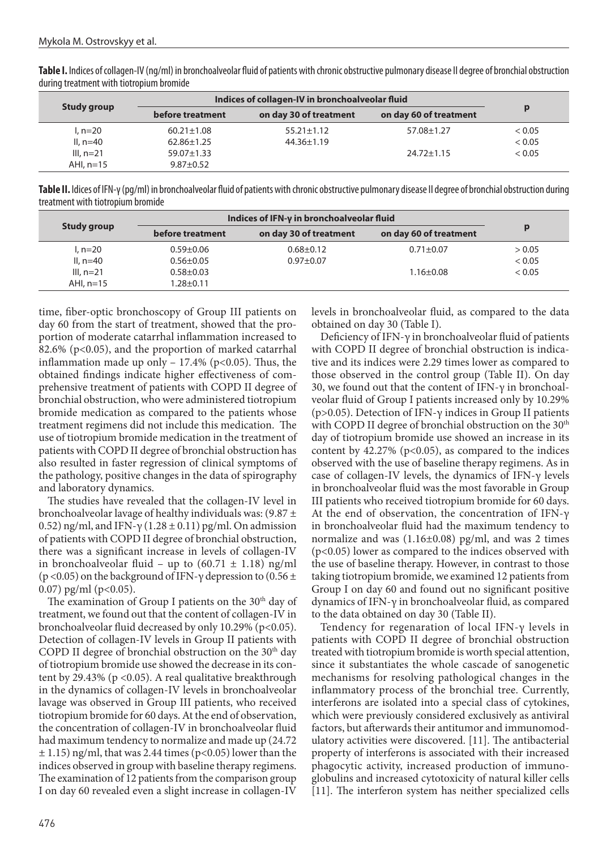**Table I.** Indices of collagen-IV (ng/ml) in bronchoalveolar fluid of patients with chronic obstructive pulmonary disease II degree of bronchial obstruction during treatment with tiotropium bromide

| Study group | Indices of collagen-IV in bronchoalveolar fluid |                        |                        |        |
|-------------|-------------------------------------------------|------------------------|------------------------|--------|
|             | before treatment                                | on day 30 of treatment | on day 60 of treatment | D      |
| $1. n=20$   | $60.21 \pm 1.08$                                | $55.21 \pm 1.12$       | 57.08±1.27             | < 0.05 |
| II, $n=40$  | $62.86 \pm 1.25$                                | $44.36 \pm 1.19$       |                        | < 0.05 |
| $III. n=21$ | $59.07 \pm 1.33$                                |                        | $24.72 \pm 1.15$       | < 0.05 |
| AHI, $n=15$ | $9.87 \pm 0.52$                                 |                        |                        |        |

**Table II.** Idices of IFN-γ (pg/ml) in bronchoalveolar fluid of patients with chronic obstructive pulmonary disease II degree of bronchial obstruction during treatment with tiotropium bromide

| Study group | Indices of IFN-y in bronchoalveolar fluid |                        |                        |        |
|-------------|-------------------------------------------|------------------------|------------------------|--------|
|             | before treatment                          | on day 30 of treatment | on day 60 of treatment | D      |
| $l. n=20$   | $0.59 + 0.06$                             | $0.68 + 0.12$          | $0.71 \pm 0.07$        | > 0.05 |
| II, $n=40$  | $0.56 \pm 0.05$                           | $0.97 + 0.07$          |                        | < 0.05 |
| $III. n=21$ | $0.58 + 0.03$                             |                        | $1.16 \pm 0.08$        | < 0.05 |
| AHI, $n=15$ | $1.28 \pm 0.11$                           |                        |                        |        |

time, fiber-optic bronchoscopy of Group III patients on day 60 from the start of treatment, showed that the proportion of moderate catarrhal inflammation increased to 82.6% (p<0.05), and the proportion of marked catarrhal inflammation made up only  $- 17.4%$  (p<0.05). Thus, the obtained findings indicate higher effectiveness of comprehensive treatment of patients with COPD II degree of bronchial obstruction, who were administered tiotropium bromide medication as compared to the patients whose treatment regimens did not include this medication. The use of tiotropium bromide medication in the treatment of patients with COPD II degree of bronchial obstruction has also resulted in faster regression of clinical symptoms of the pathology, positive changes in the data of spirography and laboratory dynamics.

The studies have revealed that the collagen-IV level in bronchoalveolar lavage of healthy individuals was:  $(9.87 \pm$ 0.52) ng/ml, and IFN-γ (1.28  $\pm$  0.11) pg/ml. On admission of patients with COPD II degree of bronchial obstruction, there was a significant increase in levels of collagen-IV in bronchoalveolar fluid – up to  $(60.71 \pm 1.18)$  ng/ml (p <0.05) on the background of IFN- $\gamma$  depression to (0.56  $\pm$ 0.07) pg/ml ( $p<0.05$ ).

The examination of Group I patients on the  $30<sup>th</sup>$  day of treatment, we found out that the content of collagen-IV in bronchoalveolar fluid decreased by only 10.29% (p<0.05). Detection of collagen-IV levels in Group II patients with COPD II degree of bronchial obstruction on the  $30<sup>th</sup>$  day of tiotropium bromide use showed the decrease in its content by 29.43% ( $p < 0.05$ ). A real qualitative breakthrough in the dynamics of collagen-IV levels in bronchoalveolar lavage was observed in Group III patients, who received tiotropium bromide for 60 days. At the end of observation, the concentration of collagen-IV in bronchoalveolar fluid had maximum tendency to normalize and made up (24.72  $\pm$  1.15) ng/ml, that was 2.44 times (p<0.05) lower than the indices observed in group with baseline therapy regimens. The examination of 12 patients from the comparison group I on day 60 revealed even a slight increase in collagen-IV

levels in bronchoalveolar fluid, as compared to the data obtained on day 30 (Table I).

Deficiency of IFN-γ in bronchoalveolar fluid of patients with COPD II degree of bronchial obstruction is indicative and its indices were 2.29 times lower as compared to those observed in the control group (Table II). On day 30, we found out that the content of IFN- $\gamma$  in bronchoalveolar fluid of Group I patients increased only by 10.29% ( $p>0.05$ ). Detection of IFN- $\gamma$  indices in Group II patients with COPD II degree of bronchial obstruction on the 30<sup>th</sup> day of tiotropium bromide use showed an increase in its content by  $42.27\%$  (p<0.05), as compared to the indices observed with the use of baseline therapy regimens. As in case of collagen-IV levels, the dynamics of IFN-γ levels in bronchoalveolar fluid was the most favorable in Group III patients who received tiotropium bromide for 60 days. At the end of observation, the concentration of IFN-γ in bronchoalveolar fluid had the maximum tendency to normalize and was (1.16±0.08) pg/ml, and was 2 times (p<0.05) lower as compared to the indices observed with the use of baseline therapy. However, in contrast to those taking tiotropium bromide, we examined 12 patients from Group I on day 60 and found out no significant positive dynamics of IFN-γ in bronchoalveolar fluid, as compared to the data obtained on day 30 (Table II).

Tendency for regenaration of local IFN-γ levels in patients with COPD II degree of bronchial obstruction treated with tiotropium bromide is worth special attention, since it substantiates the whole cascade of sanogenetic mechanisms for resolving pathological changes in the inflammatory process of the bronchial tree. Currently, interferons are isolated into a special class of cytokines, which were previously considered exclusively as antiviral factors, but afterwards their antitumor and immunomodulatory activities were discovered. [11]. The antibacterial property of interferons is associated with their increased phagocytic activity, increased production of immunoglobulins and increased cytotoxicity of natural killer cells [11]. The interferon system has neither specialized cells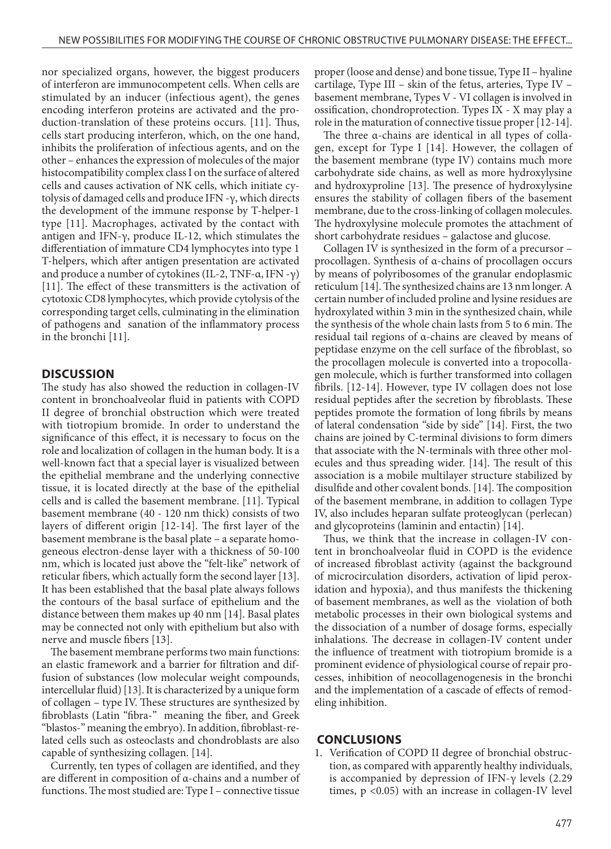nor specialized organs, however, the biggest producers of interferon are immunocompetent cells. When cells are stimulated by an inducer (infectious agent), the genes encoding interferon proteins are activated and the production-translation of these proteins occurs. [11]. Thus, cells start producing interferon, which, on the one hand, inhibits the proliferation of infectious agents, and on the other – enhances the expression of molecules of the major histocompatibility complex class I on the surface of altered cells and causes activation of NK cells, which initiate cytolysis of damaged cells and produce IFN -γ, which directs the development of the immune response by T-helper-1 type [11]. Macrophages, activated by the contact with antigen and IFN-γ, produce IL-12, which stimulates the differentiation of immature CD4 lymphocytes into type 1 T-helpers, which after antigen presentation are activated and produce a number of cytokines (IL-2, TNF- $\alpha$ , IFN -γ) [11]. The effect of these transmitters is the activation of cytotoxic CD8 lymphocytes, which provide cytolysis of the corresponding target cells, culminating in the elimination of pathogens and sanation of the inflammatory process in the bronchi [11].

### **DISCUSSION**

The study has also showed the reduction in collagen-IV content in bronchoalveolar fluid in patients with COPD II degree of bronchial obstruction which were treated with tiotropium bromide. In order to understand the significance of this effect, it is necessary to focus on the role and localization of collagen in the human body. It is a well-known fact that a special layer is visualized between the epithelial membrane and the underlying connective tissue, it is located directly at the base of the epithelial cells and is called the basement membrane. [11]. Typical basement membrane (40 - 120 nm thick) consists of two layers of different origin [12-14]. The first layer of the basement membrane is the basal plate – a separate homogeneous electron-dense layer with a thickness of 50-100 nm, which is located just above the "felt-like" network of reticular fibers, which actually form the second layer [13]. It has been established that the basal plate always follows the contours of the basal surface of epithelium and the distance between them makes up 40 nm [14]. Basal plates may be connected not only with epithelium but also with nerve and muscle fibers [13].

The basement membrane performs two main functions: an elastic framework and a barrier for filtration and diffusion of substances (low molecular weight compounds, intercellular fluid) [13]. It is characterized by a unique form of collagen – type IV. These structures are synthesized by fibroblasts (Latin "fibra-" meaning the fiber, and Greek "blastos-" meaning the embryo). In addition, fibroblast-related cells such as osteoclasts and chondroblasts are also capable of synthesizing collagen. [14].

Currently, ten types of collagen are identified, and they are different in composition of α-chains and a number of functions. The most studied are: Type I – connective tissue proper (loose and dense) and bone tissue, Type II – hyaline cartilage, Type III – skin of the fetus, arteries, Type IV – basement membrane, Types V - VI collagen is involved in ossification, chondroprotection. Types IX - X may play a role in the maturation of connective tissue proper [12-14].

The three α-chains are identical in all types of collagen, except for Type I [14]. However, the collagen of the basement membrane (type IV) contains much more carbohydrate side chains, as well as more hydroxylysine and hydroxyproline [13]. The presence of hydroxylysine ensures the stability of collagen fibers of the basement membrane, due to the cross-linking of collagen molecules. The hydroxylysine molecule promotes the attachment of short carbohydrate residues – galactose and glucose.

Collagen IV is synthesized in the form of a precursor – procollagen. Synthesis of α-chains of procollagen occurs by means of polyribosomes of the granular endoplasmic reticulum [14]. The synthesized chains are 13 nm longer. A certain number of included proline and lysine residues are hydroxylated within 3 min in the synthesized chain, while the synthesis of the whole chain lasts from 5 to 6 min. The residual tail regions of α-chains are cleaved by means of peptidase enzyme on the cell surface of the fibroblast, so the procollagen molecule is converted into a tropocollagen molecule, which is further transformed into collagen fibrils. [12-14]. However, type IV collagen does not lose residual peptides after the secretion by fibroblasts. These peptides promote the formation of long fibrils by means of lateral condensation "side by side" [14]. First, the two chains are joined by C-terminal divisions to form dimers that associate with the N-terminals with three other molecules and thus spreading wider. [14]. The result of this association is a mobile multilayer structure stabilized by disulfide and other covalent bonds. [14]. The composition of the basement membrane, in addition to collagen Type IV, also includes heparan sulfate proteoglycan (perlecan) and glycoproteins (laminin and entactin) [14].

Thus, we think that the increase in collagen-IV content in bronchoalveolar fluid in COPD is the evidence of increased fibroblast activity (against the background of microcirculation disorders, activation of lipid peroxidation and hypoxia), and thus manifests the thickening of basement membranes, as well as the violation of both metabolic processes in their own biological systems and the dissociation of a number of dosage forms, especially inhalations. The decrease in collagen-IV content under the influence of treatment with tiotropium bromide is a prominent evidence of physiological course of repair processes, inhibition of neocollagenogenesis in the bronchi and the implementation of a cascade of effects of remodeling inhibition.

#### **CONCLUSIONS**

1. Verification of COPD II degree of bronchial obstruction, as compared with apparently healthy individuals, is accompanied by depression of IFN-γ levels (2.29 times, p <0.05) with an increase in collagen-IV level